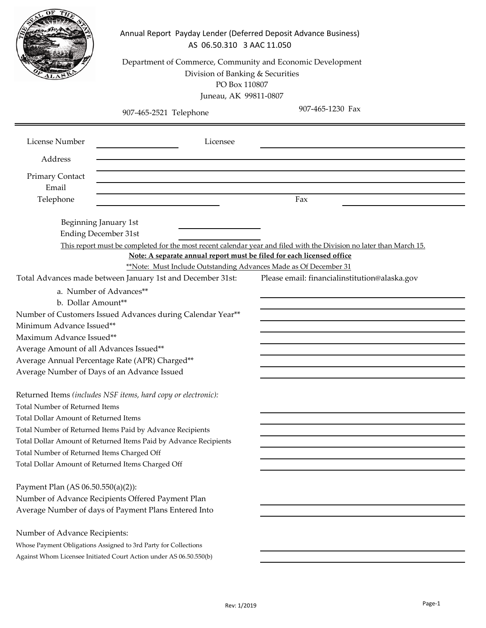|                                                                                                                                                 | Annual Report Payday Lender (Deferred Deposit Advance Business)<br>AS 06.50.310 3 AAC 11.050<br>Department of Commerce, Community and Economic Development<br>Division of Banking & Securities<br>PO Box 110807<br>Juneau, AK 99811-0807 |                                                                                                                                                                      |  |
|-------------------------------------------------------------------------------------------------------------------------------------------------|------------------------------------------------------------------------------------------------------------------------------------------------------------------------------------------------------------------------------------------|----------------------------------------------------------------------------------------------------------------------------------------------------------------------|--|
|                                                                                                                                                 | 907-465-2521 Telephone                                                                                                                                                                                                                   | 907-465-1230 Fax                                                                                                                                                     |  |
| License Number                                                                                                                                  | Licensee                                                                                                                                                                                                                                 |                                                                                                                                                                      |  |
| Address                                                                                                                                         |                                                                                                                                                                                                                                          |                                                                                                                                                                      |  |
| <b>Primary Contact</b>                                                                                                                          |                                                                                                                                                                                                                                          |                                                                                                                                                                      |  |
| Email                                                                                                                                           |                                                                                                                                                                                                                                          |                                                                                                                                                                      |  |
| Telephone                                                                                                                                       |                                                                                                                                                                                                                                          | Fax                                                                                                                                                                  |  |
| Beginning January 1st<br><b>Ending December 31st</b><br>a. Number of Advances**                                                                 | Note: A separate annual report must be filed for each licensed office<br>**Note: Must Include Outstanding Advances Made as Of December 31<br>Total Advances made between January 1st and December 31st:                                  | This report must be completed for the most recent calendar year and filed with the Division no later than March 15.<br>Please email: financialinstitution@alaska.gov |  |
| b. Dollar Amount**                                                                                                                              |                                                                                                                                                                                                                                          |                                                                                                                                                                      |  |
| Number of Customers Issued Advances during Calendar Year**                                                                                      |                                                                                                                                                                                                                                          |                                                                                                                                                                      |  |
| Minimum Advance Issued**<br>Maximum Advance Issued**                                                                                            |                                                                                                                                                                                                                                          |                                                                                                                                                                      |  |
| Average Amount of all Advances Issued**                                                                                                         |                                                                                                                                                                                                                                          |                                                                                                                                                                      |  |
| Average Annual Percentage Rate (APR) Charged**                                                                                                  |                                                                                                                                                                                                                                          |                                                                                                                                                                      |  |
| Average Number of Days of an Advance Issued                                                                                                     |                                                                                                                                                                                                                                          |                                                                                                                                                                      |  |
| Returned Items (includes NSF items, hard copy or electronic):<br><b>Total Number of Returned Items</b><br>Total Dollar Amount of Returned Items |                                                                                                                                                                                                                                          |                                                                                                                                                                      |  |
| Total Number of Returned Items Paid by Advance Recipients<br>Total Dollar Amount of Returned Items Paid by Advance Recipients                   |                                                                                                                                                                                                                                          |                                                                                                                                                                      |  |
| Total Number of Returned Items Charged Off                                                                                                      |                                                                                                                                                                                                                                          |                                                                                                                                                                      |  |
| Total Dollar Amount of Returned Items Charged Off                                                                                               |                                                                                                                                                                                                                                          |                                                                                                                                                                      |  |
| Payment Plan (AS 06.50.550(a)(2)):                                                                                                              | Number of Advance Recipients Offered Payment Plan<br>Average Number of days of Payment Plans Entered Into                                                                                                                                |                                                                                                                                                                      |  |
| Number of Advance Recipients:                                                                                                                   |                                                                                                                                                                                                                                          |                                                                                                                                                                      |  |
| Whose Payment Obligations Assigned to 3rd Party for Collections                                                                                 |                                                                                                                                                                                                                                          |                                                                                                                                                                      |  |
|                                                                                                                                                 | Against Whom Licensee Initiated Court Action under AS 06.50.550(b)                                                                                                                                                                       |                                                                                                                                                                      |  |
|                                                                                                                                                 |                                                                                                                                                                                                                                          |                                                                                                                                                                      |  |